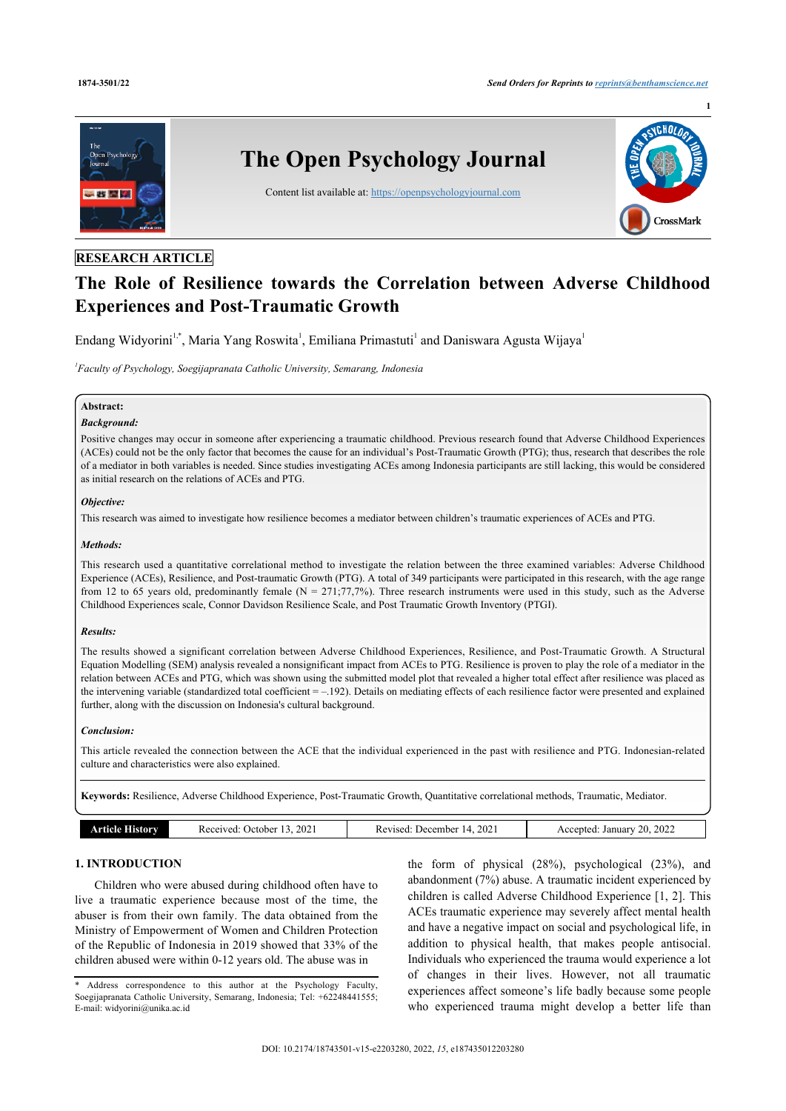**1**



# **RESEARCH ARTICLE**

# **The Role of Resilience towards the Correlation between Adverse Childhood Experiences and Post-Traumatic Growth**

Endang Widyorini<sup>[1,](#page-0-0)[\\*](#page-0-1)</sup>, Maria Yang Roswita<sup>[1](#page-0-0)</sup>, Emiliana Primastuti<sup>1</sup> and Daniswara Agusta Wijaya<sup>1</sup>

<span id="page-0-0"></span>*1 Faculty of Psychology, Soegijapranata Catholic University, Semarang, Indonesia*

## **Abstract:**

#### *Background:*

Positive changes may occur in someone after experiencing a traumatic childhood. Previous research found that Adverse Childhood Experiences (ACEs) could not be the only factor that becomes the cause for an individual's Post-Traumatic Growth (PTG); thus, research that describes the role of a mediator in both variables is needed. Since studies investigating ACEs among Indonesia participants are still lacking, this would be considered as initial research on the relations of ACEs and PTG.

#### *Objective:*

This research was aimed to investigate how resilience becomes a mediator between children's traumatic experiences of ACEs and PTG.

## *Methods:*

This research used a quantitative correlational method to investigate the relation between the three examined variables: Adverse Childhood Experience (ACEs), Resilience, and Post-traumatic Growth (PTG). A total of 349 participants were participated in this research, with the age range from 12 to 65 years old, predominantly female ( $N = 271; 77,7%$ ). Three research instruments were used in this study, such as the Adverse Childhood Experiences scale, Connor Davidson Resilience Scale, and Post Traumatic Growth Inventory (PTGI).

#### *Results:*

The results showed a significant correlation between Adverse Childhood Experiences, Resilience, and Post-Traumatic Growth. A Structural Equation Modelling (SEM) analysis revealed a nonsignificant impact from ACEs to PTG. Resilience is proven to play the role of a mediator in the relation between ACEs and PTG, which was shown using the submitted model plot that revealed a higher total effect after resilience was placed as the intervening variable (standardized total coefficient  $=$   $-$ .192). Details on mediating effects of each resilience factor were presented and explained further, along with the discussion on Indonesia's cultural background.

#### *Conclusion:*

This article revealed the connection between the ACE that the individual experienced in the past with resilience and PTG. Indonesian-related culture and characteristics were also explained.

**Keywords:** Resilience, Adverse Childhood Experience, Post-Traumatic Growth, Quantitative correlational methods, Traumatic, Mediator.

| orv<br>. | 202<br>Jetober.<br>s ecenyed.<br>7 U U<br>.<br>__<br>- - - - | 202<br>December .<br>1100<br>0۰ م<br>ıд<br>NC.<br>71 A<br>$  -$<br>.<br>. | 2022<br>GΩ<br>Januar<br>.ccentec<br>$A_{1}$<br>$\sim$<br>$- - -$ |
|----------|--------------------------------------------------------------|---------------------------------------------------------------------------|------------------------------------------------------------------|
|          |                                                              |                                                                           |                                                                  |

# **1. INTRODUCTION**

Children who were abused during childhood often have to live a traumatic experience because most of the time, the abuser is from their own family. The data obtained from the Ministry of Empowerment of Women and Children Protection of the Republic of Indonesia in 2019 showed that 33% of the children abused were within 0-12 years old. The abuse was in

the form of physical (28%), psychological (23%), and abandonment (7%) abuse. A traumatic incident experienced by children is called Adverse Childhood Experience [\[1](#page-9-0), [2\]](#page-9-1). This ACEs traumatic experience may severely affect mental health and have a negative impact on social and psychological life, in addition to physical health, that makes people antisocial. Individuals who experienced the trauma would experience a lot of changes in their lives. However, not all traumatic experiences affect someone's life badly because some people who experienced trauma might develop a better life than

<span id="page-0-1"></span><sup>\*</sup> Address correspondence to this author at the Psychology Faculty, Soegijapranata Catholic University, Semarang, Indonesia; Tel: +62248441555; E-mail: [widyorini@unika.ac.id](mailto:widyorini@unika.ac.id)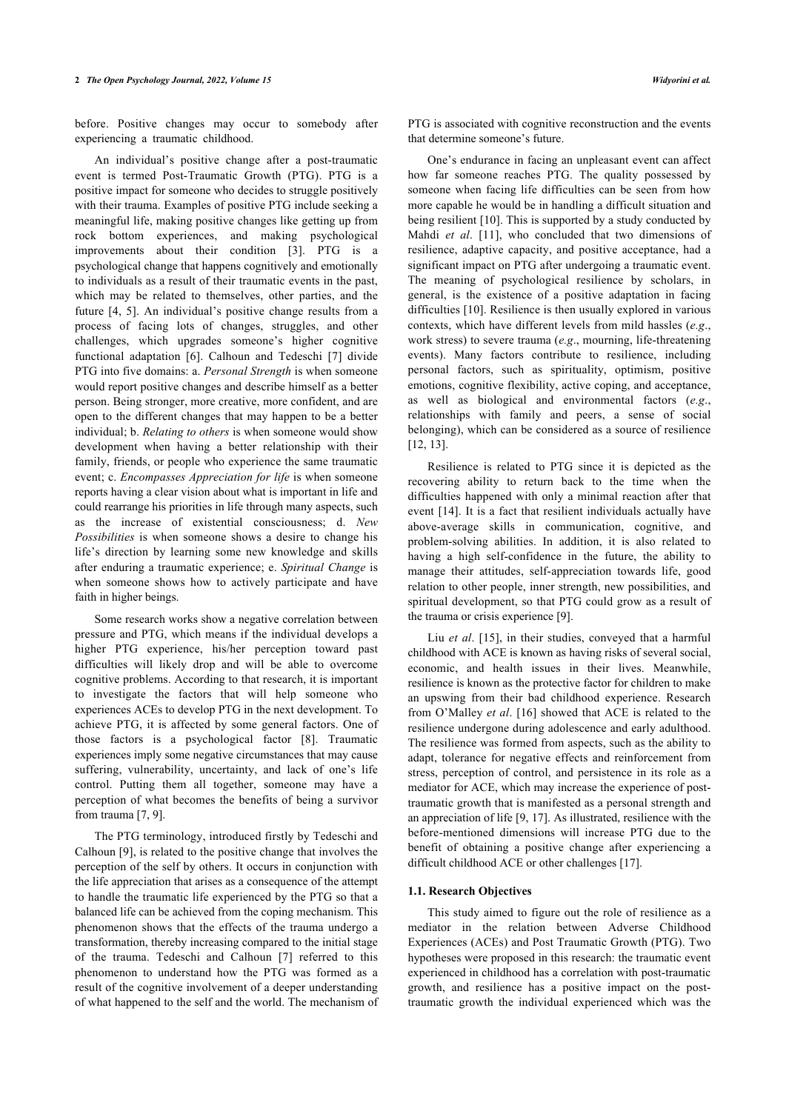before. Positive changes may occur to somebody after experiencing a traumatic childhood.

An individual's positive change after a post-traumatic event is termed Post-Traumatic Growth (PTG). PTG is a positive impact for someone who decides to struggle positively with their trauma. Examples of positive PTG include seeking a meaningful life, making positive changes like getting up from rock bottom experiences, and making psychological improvements about their condition [\[3\]](#page-9-2). PTG is a psychological change that happens cognitively and emotionally to individuals as a result of their traumatic events in the past, which may be related to themselves, other parties, and the future [\[4,](#page-9-3) [5](#page-9-4)]. An individual's positive change results from a process of facing lots of changes, struggles, and other challenges, which upgrades someone's higher cognitive functional adaptation[[6\]](#page-9-5). Calhoun and Tedeschi [\[7](#page-9-6)] divide PTG into five domains: a. *Personal Strength* is when someone would report positive changes and describe himself as a better person. Being stronger, more creative, more confident, and are open to the different changes that may happen to be a better individual; b. *Relating to others* is when someone would show development when having a better relationship with their family, friends, or people who experience the same traumatic event; c. *Encompasses Appreciation for life* is when someone reports having a clear vision about what is important in life and could rearrange his priorities in life through many aspects, such as the increase of existential consciousness; d. *New Possibilities* is when someone shows a desire to change his life's direction by learning some new knowledge and skills after enduring a traumatic experience; e. *Spiritual Change* is when someone shows how to actively participate and have faith in higher beings.

Some research works show a negative correlation between pressure and PTG, which means if the individual develops a higher PTG experience, his/her perception toward past difficulties will likely drop and will be able to overcome cognitive problems. According to that research, it is important to investigate the factors that will help someone who experiences ACEs to develop PTG in the next development. To achieve PTG, it is affected by some general factors. One of those factors is a psychological factor [\[8\]](#page-9-7). Traumatic experiences imply some negative circumstances that may cause suffering, vulnerability, uncertainty, and lack of one's life control. Putting them all together, someone may have a perception of what becomes the benefits of being a survivor from trauma [[7](#page-9-6), [9](#page-9-8)].

The PTG terminology, introduced firstly by Tedeschi and Calhoun [\[9\]](#page-9-8), is related to the positive change that involves the perception of the self by others. It occurs in conjunction with the life appreciation that arises as a consequence of the attempt to handle the traumatic life experienced by the PTG so that a balanced life can be achieved from the coping mechanism. This phenomenon shows that the effects of the trauma undergo a transformation, thereby increasing compared to the initial stage of the trauma. Tedeschi and Calhoun[[7\]](#page-9-6) referred to this phenomenon to understand how the PTG was formed as a result of the cognitive involvement of a deeper understanding of what happened to the self and the world. The mechanism of PTG is associated with cognitive reconstruction and the events that determine someone's future.

One's endurance in facing an unpleasant event can affect how far someone reaches PTG. The quality possessed by someone when facing life difficulties can be seen from how more capable he would be in handling a difficult situation and being resilient [[10\]](#page-9-9). This is supported by a study conducted by Mahdi *et al*.[[11](#page-9-10)], who concluded that two dimensions of resilience, adaptive capacity, and positive acceptance, had a significant impact on PTG after undergoing a traumatic event. The meaning of psychological resilience by scholars, in general, is the existence of a positive adaptation in facing difficulties [\[10](#page-9-9)]. Resilience is then usually explored in various contexts, which have different levels from mild hassles (*e.g*., work stress) to severe trauma (*e.g*., mourning, life-threatening events). Many factors contribute to resilience, including personal factors, such as spirituality, optimism, positive emotions, cognitive flexibility, active coping, and acceptance, as well as biological and environmental factors (*e.g*., relationships with family and peers, a sense of social belonging), which can be considered as a source of resilience [[12,](#page-9-11) [13](#page-9-12)].

Resilience is related to PTG since it is depicted as the recovering ability to return back to the time when the difficulties happened with only a minimal reaction after that event [\[14](#page-9-13)]. It is a fact that resilient individuals actually have above-average skills in communication, cognitive, and problem-solving abilities. In addition, it is also related to having a high self-confidence in the future, the ability to manage their attitudes, self-appreciation towards life, good relation to other people, inner strength, new possibilities, and spiritual development, so that PTG could grow as a result of the trauma or crisis experience [[9](#page-9-8)].

Liu *et al*. [[15](#page-9-14)], in their studies, conveyed that a harmful childhood with ACE is known as having risks of several social, economic, and health issues in their lives. Meanwhile, resilience is known as the protective factor for children to make an upswing from their bad childhood experience. Research from O'Malley *et al*. [\[16\]](#page-9-15) showed that ACE is related to the resilience undergone during adolescence and early adulthood. The resilience was formed from aspects, such as the ability to adapt, tolerance for negative effects and reinforcement from stress, perception of control, and persistence in its role as a mediator for ACE, which may increase the experience of posttraumatic growth that is manifested as a personal strength and an appreciation of life [[9](#page-9-8), [17\]](#page-9-16). As illustrated, resilience with the before-mentioned dimensions will increase PTG due to the benefit of obtaining a positive change after experiencing a difficult childhood ACE or other challenges [\[17](#page-9-16)].

#### **1.1. Research Objectives**

This study aimed to figure out the role of resilience as a mediator in the relation between Adverse Childhood Experiences (ACEs) and Post Traumatic Growth (PTG). Two hypotheses were proposed in this research: the traumatic event experienced in childhood has a correlation with post-traumatic growth, and resilience has a positive impact on the posttraumatic growth the individual experienced which was the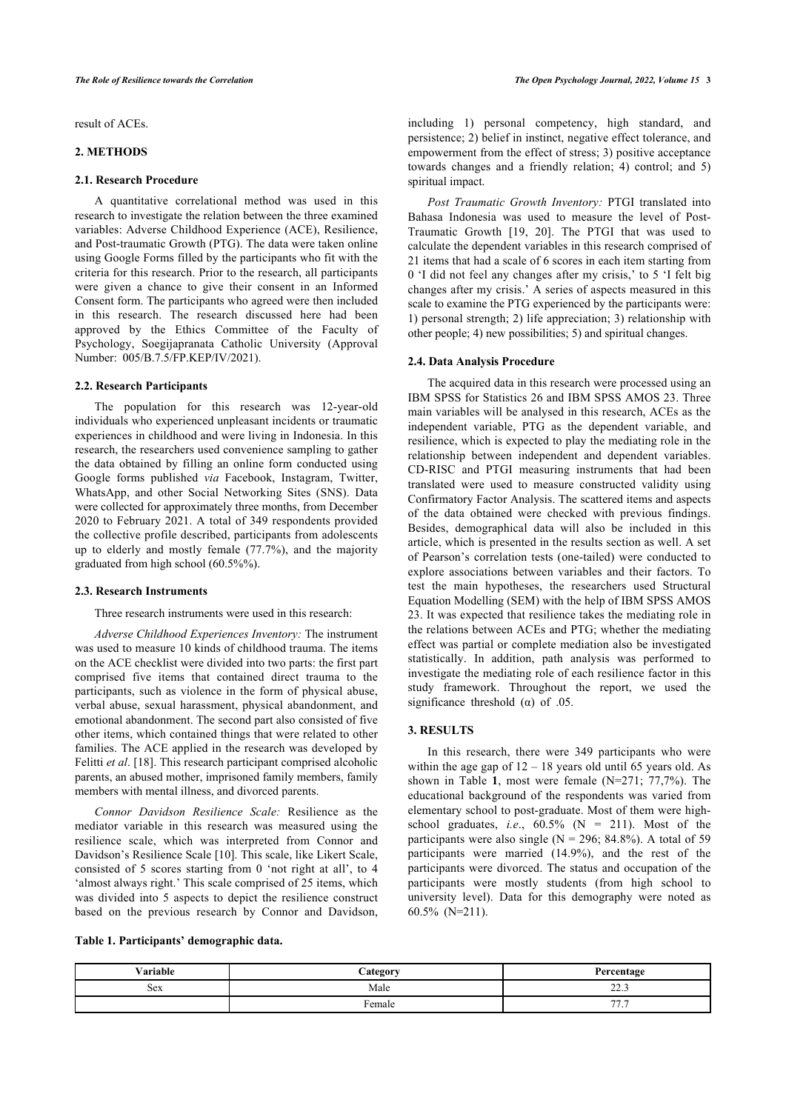result of ACEs.

#### **2. METHODS**

#### **2.1. Research Procedure**

A quantitative correlational method was used in this research to investigate the relation between the three examined variables: Adverse Childhood Experience (ACE), Resilience, and Post-traumatic Growth (PTG). The data were taken online using Google Forms filled by the participants who fit with the criteria for this research. Prior to the research, all participants were given a chance to give their consent in an Informed Consent form. The participants who agreed were then included in this research. The research discussed here had been approved by the Ethics Committee of the Faculty of Psychology, Soegijapranata Catholic University (Approval Number: 005/B.7.5/FP.KEP/IV/2021).

## **2.2. Research Participants**

The population for this research was 12-year-old individuals who experienced unpleasant incidents or traumatic experiences in childhood and were living in Indonesia. In this research, the researchers used convenience sampling to gather the data obtained by filling an online form conducted using Google forms published *via* Facebook, Instagram, Twitter, WhatsApp, and other Social Networking Sites (SNS). Data were collected for approximately three months, from December 2020 to February 2021. A total of 349 respondents provided the collective profile described, participants from adolescents up to elderly and mostly female (77.7%), and the majority graduated from high school (60.5%%).

#### **2.3. Research Instruments**

Three research instruments were used in this research:

*Adverse Childhood Experiences Inventory:* The instrument was used to measure 10 kinds of childhood trauma. The items on the ACE checklist were divided into two parts: the first part comprised five items that contained direct trauma to the participants, such as violence in the form of physical abuse, verbal abuse, sexual harassment, physical abandonment, and emotional abandonment. The second part also consisted of five other items, which contained things that were related to other families. The ACE applied in the research was developed by Felitti *et al*. [\[18](#page-9-17)]. This research participant comprised alcoholic parents, an abused mother, imprisoned family members, family members with mental illness, and divorced parents.

*Connor Davidson Resilience Scale:* Resilience as the mediator variable in this research was measured using the resilience scale, which was interpreted from Connor and Davidson's Resilience Scale [[10\]](#page-9-9). This scale, like Likert Scale, consisted of 5 scores starting from 0 'not right at all', to 4 'almost always right.' This scale comprised of 25 items, which was divided into 5 aspects to depict the resilience construct based on the previous research by Connor and Davidson,

including 1) personal competency, high standard, and persistence; 2) belief in instinct, negative effect tolerance, and empowerment from the effect of stress; 3) positive acceptance towards changes and a friendly relation; 4) control; and 5) spiritual impact.

*Post Traumatic Growth Inventory:* PTGI translated into Bahasa Indonesia was used to measure the level of Post-Traumatic Growth[[19,](#page-10-0) [20\]](#page-10-1). The PTGI that was used to calculate the dependent variables in this research comprised of 21 items that had a scale of 6 scores in each item starting from 0 'I did not feel any changes after my crisis,' to 5 'I felt big changes after my crisis.' A series of aspects measured in this scale to examine the PTG experienced by the participants were: 1) personal strength; 2) life appreciation; 3) relationship with other people; 4) new possibilities; 5) and spiritual changes.

#### **2.4. Data Analysis Procedure**

The acquired data in this research were processed using an IBM SPSS for Statistics 26 and IBM SPSS AMOS 23. Three main variables will be analysed in this research, ACEs as the independent variable, PTG as the dependent variable, and resilience, which is expected to play the mediating role in the relationship between independent and dependent variables. CD-RISC and PTGI measuring instruments that had been translated were used to measure constructed validity using Confirmatory Factor Analysis. The scattered items and aspects of the data obtained were checked with previous findings. Besides, demographical data will also be included in this article, which is presented in the results section as well. A set of Pearson's correlation tests (one-tailed) were conducted to explore associations between variables and their factors. To test the main hypotheses, the researchers used Structural Equation Modelling (SEM) with the help of IBM SPSS AMOS 23. It was expected that resilience takes the mediating role in the relations between ACEs and PTG; whether the mediating effect was partial or complete mediation also be investigated statistically. In addition, path analysis was performed to investigate the mediating role of each resilience factor in this study framework. Throughout the report, we used the significance threshold  $(\alpha)$  of .05.

# **3. RESULTS**

In this research, there were 349 participants who were within the age g[ap](#page-2-0) of  $12 - 18$  years old until 65 years old. As shown in Table **1**, most were female (N=271; 77,7%). The educational background of the respondents was varied from elementary school to post-graduate. Most of them were highschool graduates, *i.e.*,  $60.5\%$  (N = 211). Most of the participants were also single ( $N = 296$ ; 84.8%). A total of 59 participants were married (14.9%), and the rest of the participants were divorced. The status and occupation of the participants were mostly students (from high school to university level). Data for this demography were noted as 60.5% (N=211).

<span id="page-2-0"></span>

|  |  | Table 1. Participants' demographic data. |
|--|--|------------------------------------------|
|--|--|------------------------------------------|

| . .<br>√ariahle | `ategory        | Parcontogo          |
|-----------------|-----------------|---------------------|
| <b>Sex</b>      | Male            | $\sim$<br>ر. عد     |
|                 | -<br>emale<br>. | $\overline{a}$<br>. |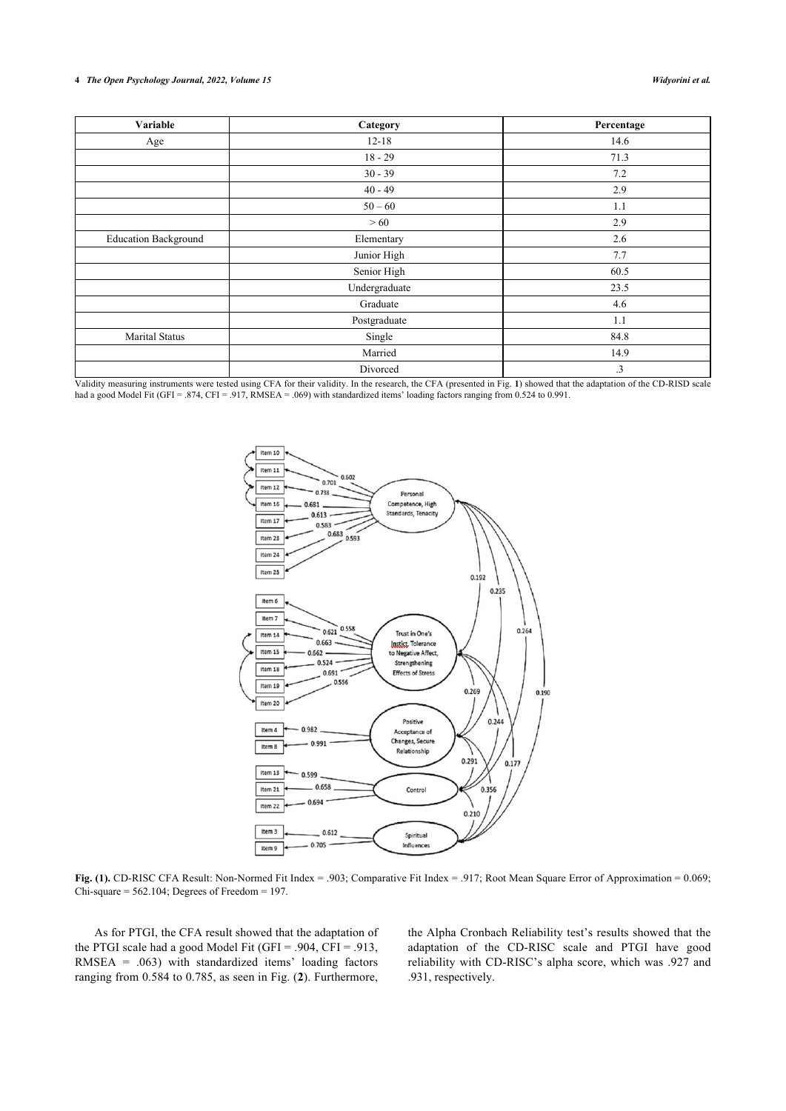#### **4** *The Open Psychology Journal, 2022, Volume 15 Widyorini et al.*

| Variable                    | Category      | Percentage |
|-----------------------------|---------------|------------|
| Age                         | $12 - 18$     | 14.6       |
|                             | $18 - 29$     | 71.3       |
|                             | $30 - 39$     | 7.2        |
|                             | $40 - 49$     | 2.9        |
|                             | $50 - 60$     | 1.1        |
|                             | >60           | 2.9        |
| <b>Education Background</b> | Elementary    | 2.6        |
|                             | Junior High   | 7.7        |
|                             | Senior High   | 60.5       |
|                             | Undergraduate | 23.5       |
|                             | Graduate      | 4.6        |
|                             | Postgraduate  | 1.1        |
| <b>Marital Status</b>       | Single        | 84.8       |
|                             | Married       | 14.9       |
|                             | Divorced      | $\cdot$ 3  |

<span id="page-3-0"></span>Validity measuring instruments were tested using CFA for their validity. In the research, the CFA (presented in Fig. **[1](#page-3-0)**) showed that the adaptation of the CD-RISD scale had a good Model Fit (GFI = .874, CFI = .917, RMSEA = .069) with standardized items' loading factors ranging from 0.524 to 0.991.



**Fig. (1).** CD-RISC CFA Result: Non-Normed Fit Index = .903; Comparative Fit Index = .917; Root Mean Square Error of Approximation = 0.069; Chi-square  $= 562.104$ ; Degrees of Freedom  $= 197$ .

<span id="page-3-1"></span>As for PTGI, the CFA result showed that the adaptation of the PTGI scale had a good Model Fit (GFI = .904, CFI = .913, RMSEA = .063) with standardized items' loading factors ranging from 0.584 to 0.785, as seen in Fig. (**[2](#page-3-1)**). Furthermore,

the Alpha Cronbach Reliability test's results showed that the adaptation of the CD-RISC scale and PTGI have good reliability with CD-RISC's alpha score, which was .927 and .931, respectively.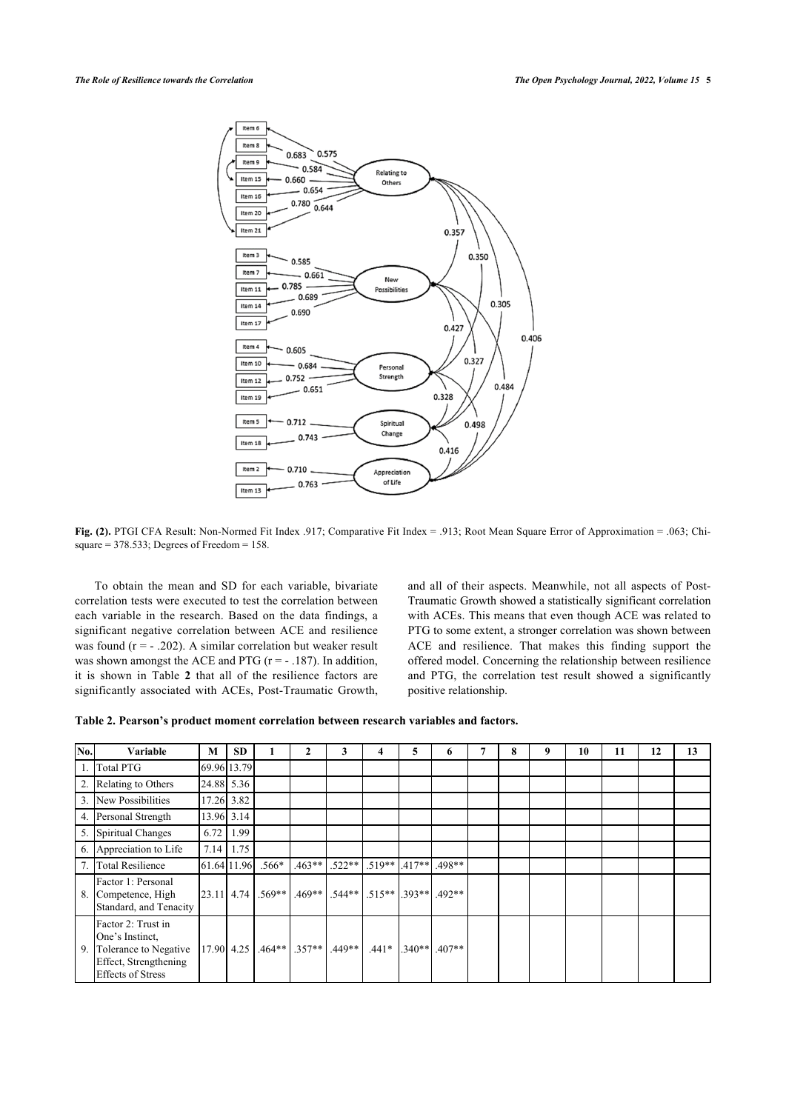

**Fig. (2).** PTGI CFA Result: Non-Normed Fit Index .917; Comparative Fit Index = .913; Root Mean Square Error of Approximation = .063; Chisquare  $= 378.533$ ; Degrees of Freedom  $= 158$ .

To obtain the mean and SD for each variable, bivariate correlation tests were executed to test the correlation between each variable in the research. Based on the data findings, a significant negative correlation between ACE and resilience was found  $(r = -0.202)$ . A similar correlation but weaker result was shown amongst the ACE and PTG ( $r = -187$ ). In addition, it is shown in Table**2** that all of the resilience factors are significantly associated with ACEs, Post-Traumatic Growth,

and all of their aspects. Meanwhile, not all aspects of Post-Traumatic Growth showed a statistically significant correlation with ACEs. This means that even though ACE was related to PTG to some extent, a stronger correlation was shown between ACE and resilience. That makes this finding support the offered model. Concerning the relationship between resilience and PTG, the correlation test result showed a significantly positive relationship.

<span id="page-4-0"></span>

|  | Table 2. Pearson's product moment correlation between research variables and factors. |  |  |  |  |  |  |  |
|--|---------------------------------------------------------------------------------------|--|--|--|--|--|--|--|
|--|---------------------------------------------------------------------------------------|--|--|--|--|--|--|--|

| No. | Variable                                                                                                            | M            | <b>SD</b>   |          | 2                 | 3        | 4                                   | 5        | 6        | 7 | 8 | 9 | 10 | 11 | 12 | 13 |
|-----|---------------------------------------------------------------------------------------------------------------------|--------------|-------------|----------|-------------------|----------|-------------------------------------|----------|----------|---|---|---|----|----|----|----|
|     | <b>Total PTG</b>                                                                                                    |              | 69.96 13.79 |          |                   |          |                                     |          |          |   |   |   |    |    |    |    |
| 2.  | Relating to Others                                                                                                  | 24.88 5.36   |             |          |                   |          |                                     |          |          |   |   |   |    |    |    |    |
| 3.  | New Possibilities                                                                                                   | 17.26 3.82   |             |          |                   |          |                                     |          |          |   |   |   |    |    |    |    |
| 4.  | Personal Strength                                                                                                   | 13.96 3.14   |             |          |                   |          |                                     |          |          |   |   |   |    |    |    |    |
|     | 5. Spiritual Changes                                                                                                | 6.72         | 1.99        |          |                   |          |                                     |          |          |   |   |   |    |    |    |    |
| 6.  | Appreciation to Life                                                                                                | 7.14         | 1.75        |          |                   |          |                                     |          |          |   |   |   |    |    |    |    |
| 7.  | <b>Total Resilience</b>                                                                                             | 61.64 11.96  |             | $.566*$  | $.463**$          | $.522**$ | $.519**$                            | $.417**$ | .498**   |   |   |   |    |    |    |    |
| 8.  | Factor 1: Personal<br>Competence, High<br>Standard, and Tenacity                                                    | $23.11$ 4.74 |             | $.569**$ | $.469**$          |          | $.544**$ $.515**$ $.393**$ $.492**$ |          |          |   |   |   |    |    |    |    |
| 9.  | Factor 2: Trust in<br>One's Instinct.<br>Tolerance to Negative<br>Effect, Strengthening<br><b>Effects of Stress</b> |              | 17.90 4.25  |          | $.464**$ $.357**$ | $.449**$ | $.441*$                             | $.340**$ | $.407**$ |   |   |   |    |    |    |    |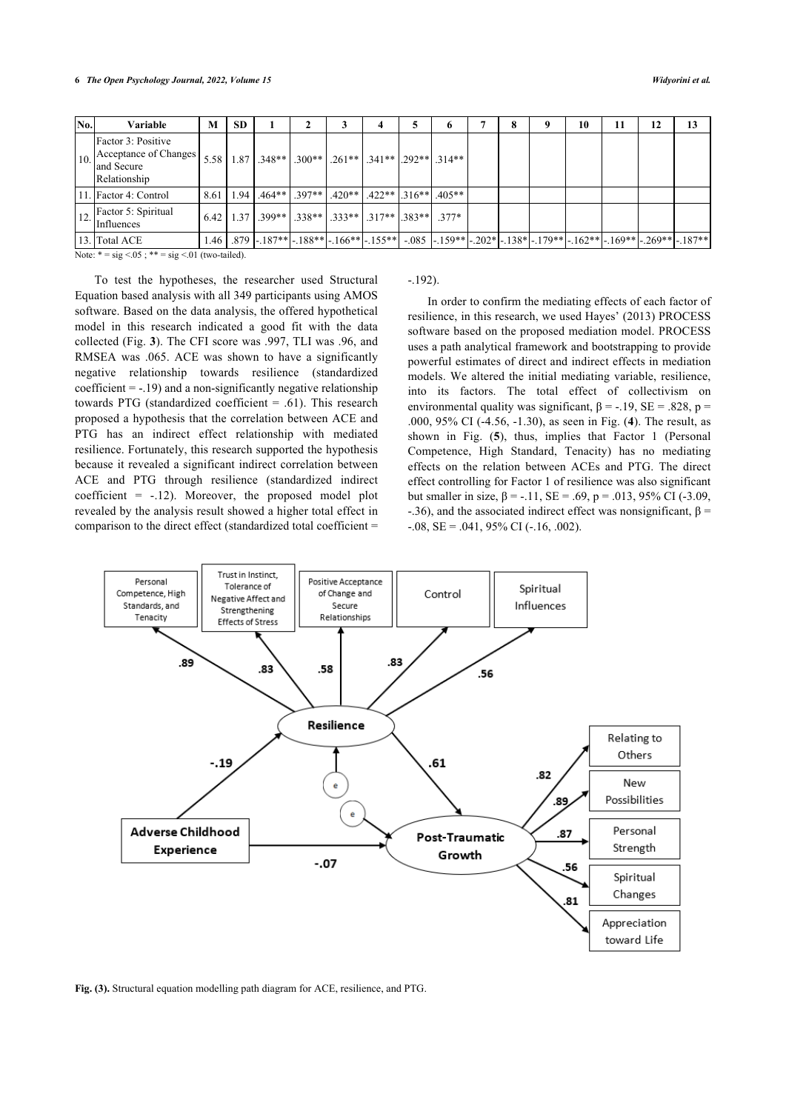| No. | Variable                                                                  | M    | <b>SD</b> |                                                                                   |  |  | 0 |  |                                                                                                                                 | 10 | 11 | 12 | 13 |
|-----|---------------------------------------------------------------------------|------|-----------|-----------------------------------------------------------------------------------|--|--|---|--|---------------------------------------------------------------------------------------------------------------------------------|----|----|----|----|
| 10. | Factor 3: Positive<br>Acceptance of Changes<br>and Secure<br>Relationship |      |           | $5.58$   $1.87$   $.348**$   $.300**$   $.261**$   $.341**$   $.292**$   $.314**$ |  |  |   |  |                                                                                                                                 |    |    |    |    |
|     | 11. Factor 4: Control                                                     | 8.61 |           | $1.94$   $.464**$   $.397**$   $.420**$   $.422**$   $.316**$   $.405**$          |  |  |   |  |                                                                                                                                 |    |    |    |    |
| 12. | Factor 5: Spiritual<br>Influences                                         |      |           | $6.42$   $1.37$   $.399**$   $.338**$   $.333**$   $.317**$   $.383**$   $.377*$  |  |  |   |  |                                                                                                                                 |    |    |    |    |
|     | 13. Total ACE                                                             |      |           |                                                                                   |  |  |   |  | l.46   .879  - .187** - .188** - .166** - .155**  - .085  - .159** - .202* - .138* - .179** - .162** - .169** - .269** - .187** |    |    |    |    |

Note:  $* = sig < 05$ ;  $** = sig < 01$  (two-tailed).

To test the hypotheses, the researcher used Structural Equation based analysis with all 349 participants using AMOS software. Based on the data analysis, the offered hypothetical model in this research indicated a good fit with the data collected (Fig. **[3](#page-5-0)**). The CFI score was .997, TLI was .96, and RMSEA was .065. ACE was shown to have a significantly negative relationship towards resilience (standardized coefficient  $= -.19$ ) and a non-significantly negative relationship towards PTG (standardized coefficient = .61). This research proposed a hypothesis that the correlation between ACE and PTG has an indirect effect relationship with mediated resilience. Fortunately, this research supported the hypothesis because it revealed a significant indirect correlation between ACE and PTG through resilience (standardized indirect coefficient  $= -12$ ). Moreover, the proposed model plot revealed by the analysis result showed a higher total effect in comparison to the direct effect (standardized total coefficient =

## -.192).

In order to confirm the mediating effects of each factor of resilience, in this research, we used Hayes' (2013) PROCESS software based on the proposed mediation model. PROCESS uses a path analytical framework and bootstrapping to provide powerful estimates of direct and indirect effects in mediation models. We altered the initial mediating variable, resilience, into its factors. The total effect of collectivism on environmental quality was significant,  $\beta = -19$ ,  $SE = .828$ ,  $p =$ .000, 95% CI (-4.56, -1.30), as seen in Fig. (**[4](#page-6-0)**). The result, as shown in Fig. (**[5](#page-6-1)**), thus, implies that Factor 1 (Personal Competence, High Standard, Tenacity) has no mediating effects on the relation between ACEs and PTG. The direct effect controlling for Factor 1 of resilience was also significant but smaller in size,  $β = -.11$ ,  $SE = .69$ ,  $p = .013$ ,  $95%$  CI (-3.09, -.36), and the associated indirect effect was nonsignificant,  $β =$  $-0.08$ , SE =  $.041$ , 95% CI ( $-16$ , 002).

<span id="page-5-0"></span>

**Fig. (3).** Structural equation modelling path diagram for ACE, resilience, and PTG.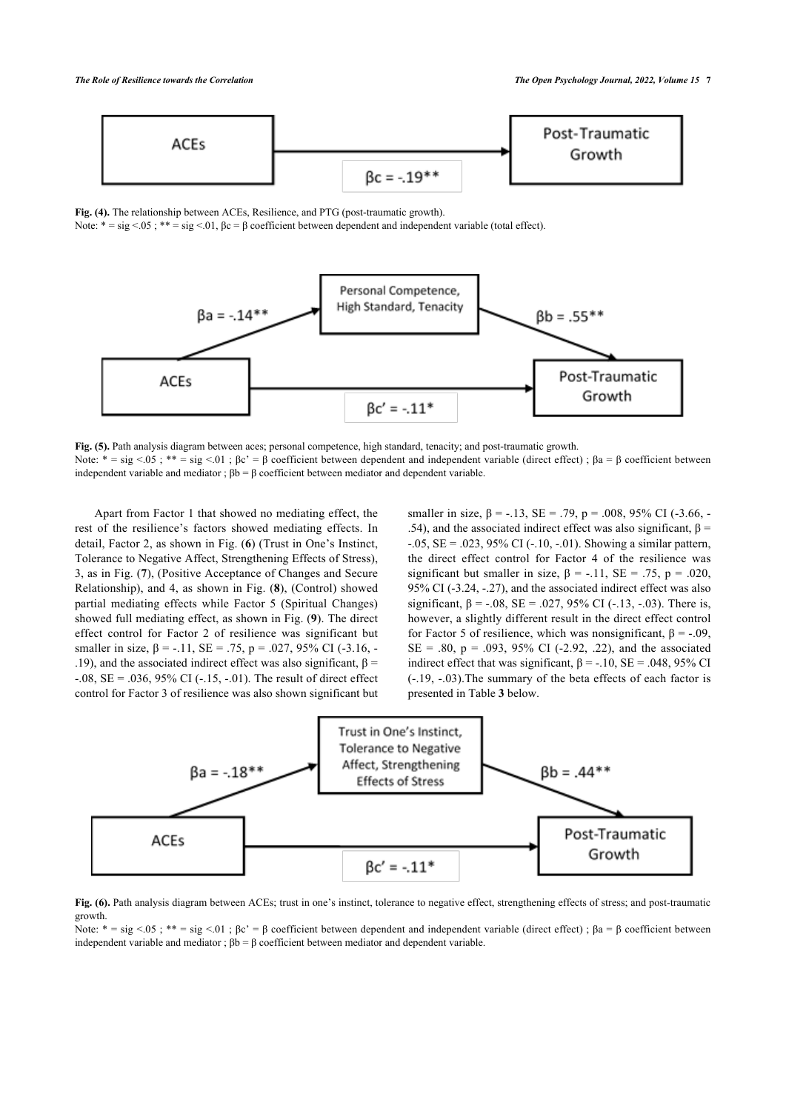<span id="page-6-0"></span>

**Fig. (4).** The relationship between ACEs, Resilience, and PTG (post-traumatic growth).

Note:  $* = \text{sig} < 05$ ;  $** = \text{sig} < 01$ ,  $\beta c = \beta$  coefficient between dependent and independent variable (total effect).

<span id="page-6-1"></span>

**Fig. (5).** Path analysis diagram between aces; personal competence, high standard, tenacity; and post-traumatic growth. Note:  $* = \text{sig} < 05$ ;  $** = \text{sig} < 01$ ;  $\beta c' = \beta$  coefficient between dependent and independent variable (direct effect);  $\beta a = \beta$  coefficient between independent variable and mediator ;  $βb = β$  coefficient between mediator and dependent variable.

Apart from Factor 1 that showed no mediating effect, the rest of the resilience's factors showed mediating effects. In detail, Factor 2, as shown in Fig. (**[6](#page-6-2)**) (Trust in One's Instinct, Tolerance to Negative Affect, Strengthening Effects of Stress), 3, as in Fig. (**[7](#page-6-3)**), (Positive Acceptance of Changes and Secure Relationship), and 4, as shown in Fig. (**[8](#page-7-0)**), (Control) showed partial mediating effects while Factor 5 (Spiritual Changes) showed full mediating effect, as shown in Fig. (**[9](#page-7-1)**). The direct effect control for Factor 2 of resilience was significant but smaller in size,  $\beta$  = -.11,  $SE = .75$ ,  $p = .027$ ,  $95\%$  CI (-3.16, -.19), and the associated indirect effect was also significant,  $β =$ -.08,  $SE = .036$ , 95% CI (-.15, -.01). The result of direct effect control for Factor 3 of resilience was also shown significant but smaller in size,  $\beta$  = -.13, SE = .79, p = .008, 95% CI (-3.66, -.54), and the associated indirect effect was also significant,  $β =$  $-0.05$ , SE =  $.023$ , 95% CI ( $-10$ ,  $-0.01$ ). Showing a similar pattern, the direct effect control for Factor 4 of the resilience was significant but smaller in size,  $\beta$  = -.11, SE = .75, p = .020, 95% CI (-3.24, -.27), and the associated indirect effect was also significant,  $\beta = -.08$ ,  $SE = .027$ ,  $95\%$  CI (-.13, -.03). There is, however, a slightly different result in the direct effect control for Factor 5 of resilience, which was nonsignificant,  $\beta = -0.09$ ,  $SE = .80$ ,  $p = .093$ , 95% CI (-2.92, .22), and the associated indirect effect that was significant,  $\beta$  = -.10, SE = .048, 95% CI (-.19, -.03).The summary of the beta effects of each factor is presented in Table **[3](#page-7-2)** below.

<span id="page-6-2"></span>

**Fig. (6).** Path analysis diagram between ACEs; trust in one's instinct, tolerance to negative effect, strengthening effects of stress; and post-traumatic growth.

<span id="page-6-3"></span>Note:  $* = sig < .05$ ;  $** = sig < .01$ ;  $βc' = β$  coefficient between dependent and independent variable (direct effect);  $βa = β$  coefficient between independent variable and mediator ;  $βb = β$  coefficient between mediator and dependent variable.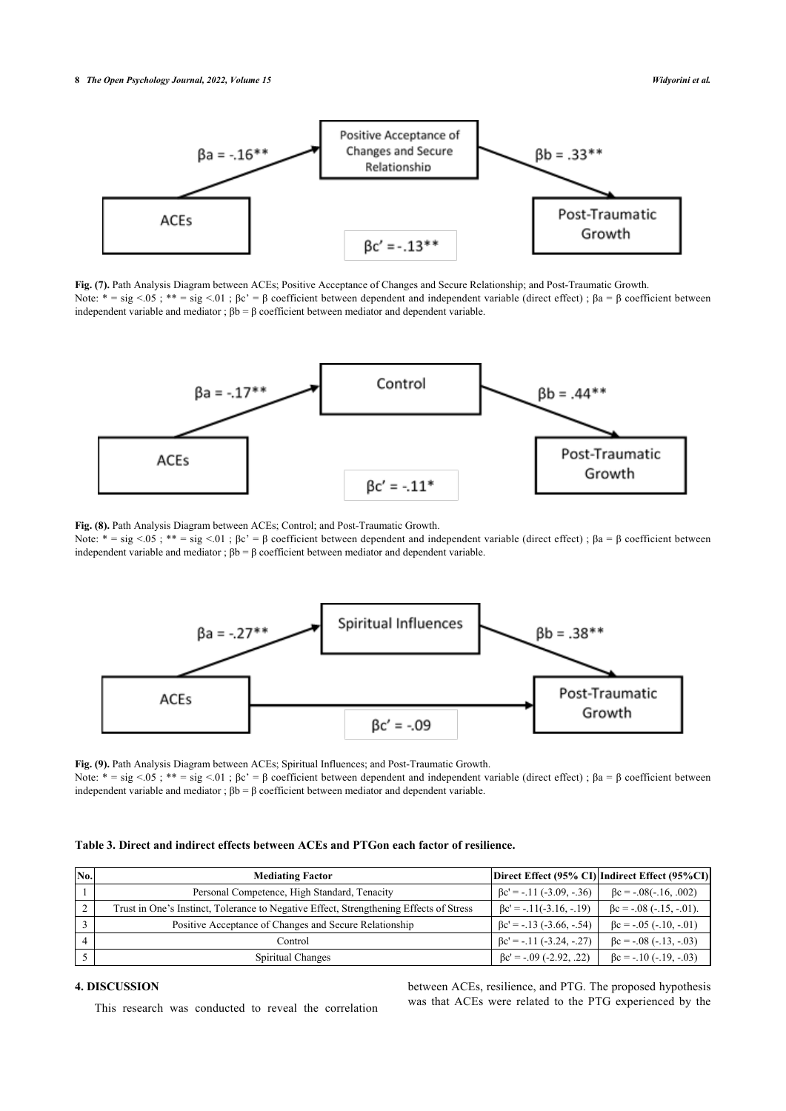

**Fig. (7).** Path Analysis Diagram between ACEs; Positive Acceptance of Changes and Secure Relationship; and Post-Traumatic Growth. Note:  $* = \text{sig} < 0.05$ ;  $** = \text{sig} < 0.1$ ; βc' = β coefficient between dependent and independent variable (direct effect); βa = β coefficient between independent variable and mediator ; βb = β coefficient between mediator and dependent variable.

<span id="page-7-0"></span>

**Fig. (8).** Path Analysis Diagram between ACEs; Control; and Post-Traumatic Growth.

Note:  $* = sig < 05$ ;  $** = sig < 01$ ; βc' = β coefficient between dependent and independent variable (direct effect); βa = β coefficient between independent variable and mediator ;  $βb = β$  coefficient between mediator and dependent variable.

<span id="page-7-1"></span>

**Fig. (9).** Path Analysis Diagram between ACEs; Spiritual Influences; and Post-Traumatic Growth. Note:  $* = \text{sig} < 05$ ;  $** = \text{sig} < 01$ ;  $\beta c' = \beta$  coefficient between dependent and independent variable (direct effect);  $\beta a = \beta$  coefficient between independent variable and mediator ;  $βb = β$  coefficient between mediator and dependent variable.

<span id="page-7-2"></span>

|  |  |  |  |  |  |  |  | Table 3. Direct and indirect effects between ACEs and PTGon each factor of resilience. |
|--|--|--|--|--|--|--|--|----------------------------------------------------------------------------------------|
|--|--|--|--|--|--|--|--|----------------------------------------------------------------------------------------|

| No. | <b>Mediating Factor</b>                                                                |                                 | Direct Effect (95% CI) Indirect Effect (95%CI) |
|-----|----------------------------------------------------------------------------------------|---------------------------------|------------------------------------------------|
|     | Personal Competence, High Standard, Tenacity                                           | $\beta$ c' = -.11 (-3.09, -.36) | $\beta$ c = -.08(-.16, .002)                   |
|     | Trust in One's Instinct, Tolerance to Negative Effect, Strengthening Effects of Stress | $\beta$ c' = -.11(-3.16, -.19)  | $\beta$ c = -.08 (-.15, -.01).                 |
|     | Positive Acceptance of Changes and Secure Relationship                                 | $\beta$ c' = -.13 (-3.66, -.54) | $\beta$ c = -.05 (-.10, -.01)                  |
|     | Control                                                                                | $\beta$ c' = -.11 (-3.24, -.27) | $\beta$ c = -.08 (-.13, -.03)                  |
|     | Spiritual Changes                                                                      | $\beta$ c' = -.09 (-2.92, .22)  | $\beta$ c = -.10 (-.19, -.03)                  |

## **4. DISCUSSION**

This research was conducted to reveal the correlation

between ACEs, resilience, and PTG. The proposed hypothesis was that ACEs were related to the PTG experienced by the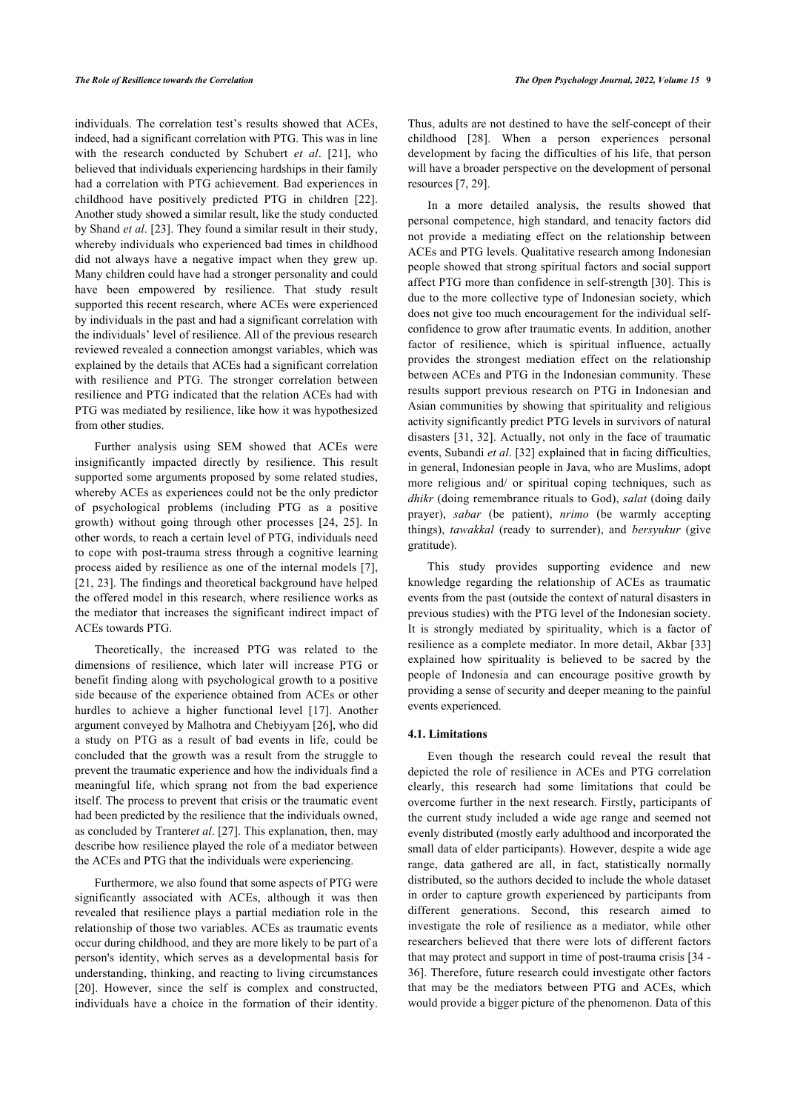individuals. The correlation test's results showed that ACEs, indeed, had a significant correlation with PTG. This was in line with the research conducted by Schubert *et al*. [\[21\]](#page-10-2), who believed that individuals experiencing hardships in their family had a correlation with PTG achievement. Bad experiences in childhood have positively predicted PTG in children[[22\]](#page-10-3). Another study showed a similar result, like the study conducted by Shand *et al*. [\[23](#page-10-4)]. They found a similar result in their study, whereby individuals who experienced bad times in childhood did not always have a negative impact when they grew up. Many children could have had a stronger personality and could have been empowered by resilience. That study result supported this recent research, where ACEs were experienced by individuals in the past and had a significant correlation with the individuals' level of resilience. All of the previous research reviewed revealed a connection amongst variables, which was explained by the details that ACEs had a significant correlation with resilience and PTG. The stronger correlation between resilience and PTG indicated that the relation ACEs had with PTG was mediated by resilience, like how it was hypothesized from other studies.

Further analysis using SEM showed that ACEs were insignificantly impacted directly by resilience. This result supported some arguments proposed by some related studies, whereby ACEs as experiences could not be the only predictor of psychological problems (including PTG as a positive growth) without going through other processes[[24,](#page-10-5) [25](#page-10-6)]. In other words, to reach a certain level of PTG, individuals need to cope with post-trauma stress through a cognitive learning process aided by resilience as one of the internal models [\[7\]](#page-9-6), [[21,](#page-10-2) [23\]](#page-10-4). The findings and theoretical background have helped the offered model in this research, where resilience works as the mediator that increases the significant indirect impact of ACEs towards PTG.

Theoretically, the increased PTG was related to the dimensions of resilience, which later will increase PTG or benefit finding along with psychological growth to a positive side because of the experience obtained from ACEs or other hurdles to achieve a higher functional level[[17](#page-9-16)]. Another argument conveyed by Malhotra and Chebiyyam [[26](#page-10-7)], who did a study on PTG as a result of bad events in life, could be concluded that the growth was a result from the struggle to prevent the traumatic experience and how the individuals find a meaningful life, which sprang not from the bad experience itself. The process to prevent that crisis or the traumatic event had been predicted by the resilience that the individuals owned, as concluded by Tranter*et al*. [\[27](#page-10-8)]. This explanation, then, may describe how resilience played the role of a mediator between the ACEs and PTG that the individuals were experiencing.

Furthermore, we also found that some aspects of PTG were significantly associated with ACEs, although it was then revealed that resilience plays a partial mediation role in the relationship of those two variables. ACEs as traumatic events occur during childhood, and they are more likely to be part of a person's identity, which serves as a developmental basis for understanding, thinking, and reacting to living circumstances [[20\]](#page-10-1). However, since the self is complex and constructed, individuals have a choice in the formation of their identity.

Thus, adults are not destined to have the self-concept of their childhood [\[28](#page-10-9)]. When a person experiences personal development by facing the difficulties of his life, that person will have a broader perspective on the development of personal resources [\[7,](#page-9-6) [29](#page-10-10)].

In a more detailed analysis, the results showed that personal competence, high standard, and tenacity factors did not provide a mediating effect on the relationship between ACEs and PTG levels. Qualitative research among Indonesian people showed that strong spiritual factors and social support affect PTG more than confidence in self-strength [\[30\]](#page-10-11). This is due to the more collective type of Indonesian society, which does not give too much encouragement for the individual selfconfidence to grow after traumatic events. In addition, another factor of resilience, which is spiritual influence, actually provides the strongest mediation effect on the relationship between ACEs and PTG in the Indonesian community. These results support previous research on PTG in Indonesian and Asian communities by showing that spirituality and religious activity significantly predict PTG levels in survivors of natural disasters [[31](#page-10-12), [32\]](#page-10-13). Actually, not only in the face of traumatic events, Subandi *et al*. [\[32](#page-10-13)] explained that in facing difficulties, in general, Indonesian people in Java, who are Muslims, adopt more religious and/ or spiritual coping techniques, such as *dhikr* (doing remembrance rituals to God), *salat* (doing daily prayer), *sabar* (be patient), *nrimo* (be warmly accepting things), *tawakkal* (ready to surrender), and *bersyukur* (give gratitude).

This study provides supporting evidence and new knowledge regarding the relationship of ACEs as traumatic events from the past (outside the context of natural disasters in previous studies) with the PTG level of the Indonesian society. It is strongly mediated by spirituality, which is a factor of resilience as a complete mediator. In more detail, Akbar [\[33\]](#page-10-14) explained how spirituality is believed to be sacred by the people of Indonesia and can encourage positive growth by providing a sense of security and deeper meaning to the painful events experienced.

## **4.1. Limitations**

Even though the research could reveal the result that depicted the role of resilience in ACEs and PTG correlation clearly, this research had some limitations that could be overcome further in the next research. Firstly, participants of the current study included a wide age range and seemed not evenly distributed (mostly early adulthood and incorporated the small data of elder participants). However, despite a wide age range, data gathered are all, in fact, statistically normally distributed, so the authors decided to include the whole dataset in order to capture growth experienced by participants from different generations. Second, this research aimed to investigate the role of resilience as a mediator, while other researchers believed that there were lots of different factors that may protect and support in time of post-trauma crisis [\[34](#page-10-15) - [36](#page-10-7)]. Therefore, future research could investigate other factors that may be the mediators between PTG and ACEs, which would provide a bigger picture of the phenomenon. Data of this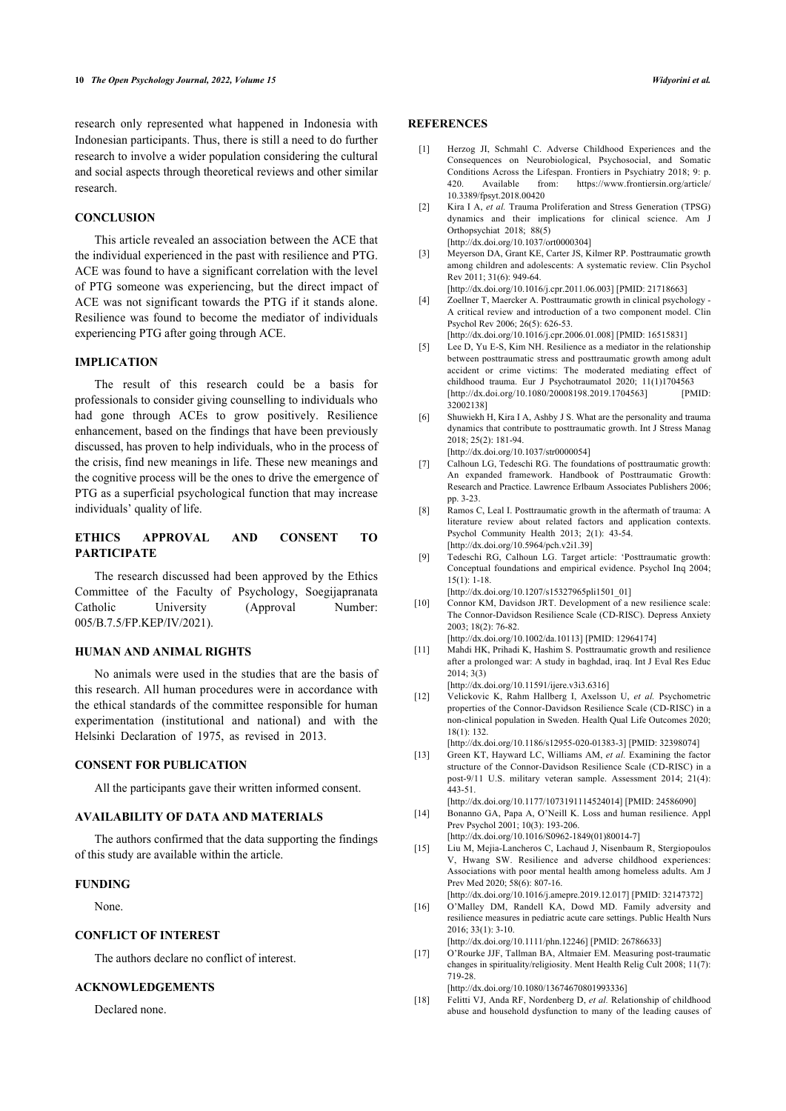<span id="page-9-0"></span>research only represented what happened in Indonesia with Indonesian participants. Thus, there is still a need to do further research to involve a wider population considering the cultural and social aspects through theoretical reviews and other similar research.

## <span id="page-9-1"></span>**CONCLUSION**

<span id="page-9-3"></span><span id="page-9-2"></span>This article revealed an association between the ACE that the individual experienced in the past with resilience and PTG. ACE was found to have a significant correlation with the level of PTG someone was experiencing, but the direct impact of ACE was not significant towards the PTG if it stands alone. Resilience was found to become the mediator of individuals experiencing PTG after going through ACE.

#### <span id="page-9-4"></span>**IMPLICATION**

<span id="page-9-5"></span>The result of this research could be a basis for professionals to consider giving counselling to individuals who had gone through ACEs to grow positively. Resilience enhancement, based on the findings that have been previously discussed, has proven to help individuals, who in the process of the crisis, find new meanings in life. These new meanings and the cognitive process will be the ones to drive the emergence of PTG as a superficial psychological function that may increase individuals' quality of life.

# <span id="page-9-7"></span><span id="page-9-6"></span>**ETHICS APPROVAL AND CONSENT TO PARTICIPATE**

<span id="page-9-9"></span><span id="page-9-8"></span>The research discussed had been approved by the Ethics Committee of the Faculty of Psychology, Soegijapranata Catholic University (Approval Number: 005/B.7.5/FP.KEP/IV/2021).

## <span id="page-9-10"></span>**HUMAN AND ANIMAL RIGHTS**

<span id="page-9-11"></span>No animals were used in the studies that are the basis of this research. All human procedures were in accordance with the ethical standards of the committee responsible for human experimentation (institutional and national) and with the Helsinki Declaration of 1975, as revised in 2013.

#### <span id="page-9-12"></span>**CONSENT FOR PUBLICATION**

All the participants gave their written informed consent.

### <span id="page-9-13"></span>**AVAILABILITY OF DATA AND MATERIALS**

<span id="page-9-14"></span>The authors confirmed that the data supporting the findings of this study are available within the article.

#### <span id="page-9-15"></span>**FUNDING**

None.

# <span id="page-9-16"></span>**CONFLICT OF INTEREST**

The authors declare no conflict of interest.

# <span id="page-9-17"></span>**ACKNOWLEDGEMENTS**

Declared none.

# **REFERENCES**

- [1] Herzog JI, Schmahl C. Adverse Childhood Experiences and the Consequences on Neurobiological, Psychosocial, and Somatic Conditions Across the Lifespan. Frontiers in Psychiatry 2018; 9: p. 420. Available from: [https://www.frontiersin.org/article/](https://www.frontiersin.org/article/10.3389/fpsyt.2018.00420) [10.3389/fpsyt.2018.00420](https://www.frontiersin.org/article/10.3389/fpsyt.2018.00420)
- [2] Kira I A, *et al.* Trauma Proliferation and Stress Generation (TPSG) dynamics and their implications for clinical science. Am J Orthopsychiat 2018; 88(5) [\[http://dx.doi.org/10.1037/ort0000304\]](http://dx.doi.org/10.1037/ort0000304)
- [3] Meyerson DA, Grant KE, Carter JS, Kilmer RP. Posttraumatic growth among children and adolescents: A systematic review. Clin Psychol Rev 2011; 31(6): 949-64.
- [\[http://dx.doi.org/10.1016/j.cpr.2011.06.003\]](http://dx.doi.org/10.1016/j.cpr.2011.06.003) [PMID: [21718663](http://www.ncbi.nlm.nih.gov/pubmed/21718663)] [4] Zoellner T, Maercker A. Posttraumatic growth in clinical psychology -
- A critical review and introduction of a two component model. Clin Psychol Rev 2006; 26(5): 626-53.
- [\[http://dx.doi.org/10.1016/j.cpr.2006.01.008\]](http://dx.doi.org/10.1016/j.cpr.2006.01.008) [PMID: [16515831](http://www.ncbi.nlm.nih.gov/pubmed/16515831)]
- [5] Lee D, Yu E-S, Kim NH. Resilience as a mediator in the relationship between posttraumatic stress and posttraumatic growth among adult accident or crime victims: The moderated mediating effect of childhood trauma. Eur J Psychotraumatol 2020; 11(1)1704563<br>
[http://dx.doi.org/10.1080/20008198.2019.17045631 [PMID:  $[http://dx.doi.org/10.1080/20008198.2019.1704563]$  $[http://dx.doi.org/10.1080/20008198.2019.1704563]$ [32002138\]](http://www.ncbi.nlm.nih.gov/pubmed/32002138)
- [6] Shuwiekh H, Kira I A, Ashby J S. What are the personality and trauma dynamics that contribute to posttraumatic growth. Int J Stress Manag 2018; 25(2): 181-94.
	- [\[http://dx.doi.org/10.1037/str0000054\]](http://dx.doi.org/10.1037/str0000054)
- [7] Calhoun LG, Tedeschi RG. The foundations of posttraumatic growth: An expanded framework. Handbook of Posttraumatic Growth: Research and Practice. Lawrence Erlbaum Associates Publishers 2006; pp. 3-23.
- [8] Ramos C, Leal I. Posttraumatic growth in the aftermath of trauma: A literature review about related factors and application contexts. Psychol Community Health 2013; 2(1): 43-54. [\[http://dx.doi.org/10.5964/pch.v2i1.39\]](http://dx.doi.org/10.5964/pch.v2i1.39)
- [9] Tedeschi RG, Calhoun LG. Target article: 'Posttraumatic growth: Conceptual foundations and empirical evidence. Psychol Inq 2004; 15(1): 1-18. [\[http://dx.doi.org/10.1207/s15327965pli1501\\_01](http://dx.doi.org/10.1207/s15327965pli1501_01)]
- [10] Connor KM, Davidson JRT. Development of a new resilience scale: The Connor-Davidson Resilience Scale (CD-RISC). Depress Anxiety 2003; 18(2): 76-82.
	- [\[http://dx.doi.org/10.1002/da.10113](http://dx.doi.org/10.1002/da.10113)] [PMID: [12964174\]](http://www.ncbi.nlm.nih.gov/pubmed/12964174)
- [11] Mahdi HK, Prihadi K, Hashim S. Posttraumatic growth and resilience after a prolonged war: A study in baghdad, iraq. Int J Eval Res Educ 2014; 3(3) [\[http://dx.doi.org/10.11591/ijere.v3i3.6316](http://dx.doi.org/10.11591/ijere.v3i3.6316)]
- [12] Velickovic K, Rahm Hallberg I, Axelsson U, *et al.* Psychometric properties of the Connor-Davidson Resilience Scale (CD-RISC) in a non-clinical population in Sweden. Health Qual Life Outcomes 2020; 18(1): 132.

[\[http://dx.doi.org/10.1186/s12955-020-01383-3](http://dx.doi.org/10.1186/s12955-020-01383-3)] [PMID: [32398074\]](http://www.ncbi.nlm.nih.gov/pubmed/32398074)

[13] Green KT, Hayward LC, Williams AM, *et al.* Examining the factor structure of the Connor-Davidson Resilience Scale (CD-RISC) in a post-9/11 U.S. military veteran sample. Assessment 2014; 21(4): 443-51.

[\[http://dx.doi.org/10.1177/1073191114524014](http://dx.doi.org/10.1177/1073191114524014)] [PMID: [24586090](http://www.ncbi.nlm.nih.gov/pubmed/24586090)]

[14] Bonanno GA, Papa A, O'Neill K. Loss and human resilience. Appl Prev Psychol 2001; 10(3): 193-206.

[\[http://dx.doi.org/10.1016/S0962-1849\(01\)80014-7\]](http://dx.doi.org/10.1016/S0962-1849(01)80014-7)

[15] Liu M, Mejia-Lancheros C, Lachaud J, Nisenbaum R, Stergiopoulos V, Hwang SW. Resilience and adverse childhood experiences: Associations with poor mental health among homeless adults. Am J Prev Med 2020; 58(6): 807-16.

[\[http://dx.doi.org/10.1016/j.amepre.2019.12.017\]](http://dx.doi.org/10.1016/j.amepre.2019.12.017) [PMID: [32147372](http://www.ncbi.nlm.nih.gov/pubmed/32147372)]

[16] O'Malley DM, Randell KA, Dowd MD. Family adversity and resilience measures in pediatric acute care settings. Public Health Nurs 2016; 33(1): 3-10.

[\[http://dx.doi.org/10.1111/phn.12246](http://dx.doi.org/10.1111/phn.12246)] [PMID: [26786633\]](http://www.ncbi.nlm.nih.gov/pubmed/26786633)

[17] O'Rourke JJF, Tallman BA, Altmaier EM. Measuring post-traumatic changes in spirituality/religiosity. Ment Health Relig Cult 2008; 11(7): 719-28.

[\[http://dx.doi.org/10.1080/13674670801993336\]](http://dx.doi.org/10.1080/13674670801993336)

[18] Felitti VJ, Anda RF, Nordenberg D, *et al.* Relationship of childhood abuse and household dysfunction to many of the leading causes of